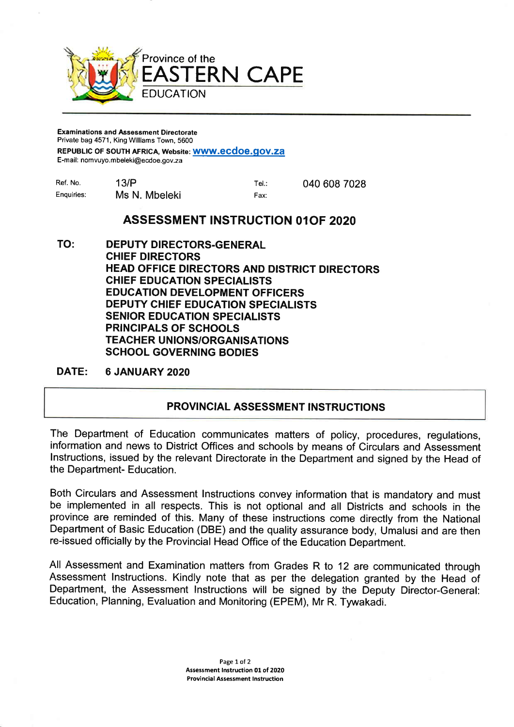

## Examinations and Assessment Directorate Private bag 4571, King Williams Town, 5600

REPUBLIC OF SOUTH AFRICA, Website: WWW.ecdoe.gov.za

E-mail: nomvuyo.mbeleki@ecdoe.gov.za

| Ref. No.   | 13/P          | Tel∴ | 040 608 7028 |
|------------|---------------|------|--------------|
| Enguiries: | Ms N. Mbeleki | Fax: |              |

## ASSESSMENT INSTRUGTION OlOF 2O2O

TO: DEPUTY DIRECTORS.GENERAL CHIEF DIRECTORS HEAD OFFICE DIRECTORS AND DISTRICT DIRECTORS CHIEF EDUCATION SPECIALISTS EDUCATION DEVELOPMENT OFFICERS DEPUTY CHIEF EDUCATION SPECIALISTS SENIOR EDUCATION SPECIALISTS PRINCIPALS OF SCHOOLS **TEACHER UNIONS/ORGANISATIONS** SCHOOL GOVERNING BODIES

DATE: 6 JANUARY 2O2O

## PROVINCIAL ASSESSMENT INSTRUCTIONS

The Department of Education communicates matters of policy, procedures, regulations, information and news to District Offices and schools by means of Circulars and Assessment lnstructions, issued by the relevant Directorate in the Department and signed by the Head of the Department- Education.

Both Circulars and Assessment lnstructions convey information that is mandatory and must be implemented in all respects. This is not optional and all Districts and schools in the province are reminded of this. Many of these instructions come directly from the National Department of Basic Education (DBE) and the quality assurance body, Umalusi and are then re-issued officially by the Provincial Head Office of the Education Department.

All Assessment and Examination matters from Grades R to 12 are communicated through Assessment lnstructions. Kindly note that as per the delegation granted by the Head of Department, the Assessment lnstructions will be signed by the Deputy Director-General: Education, Planning, Evaluation and Monitoring (EPEM), Mr R. Tywakadi.